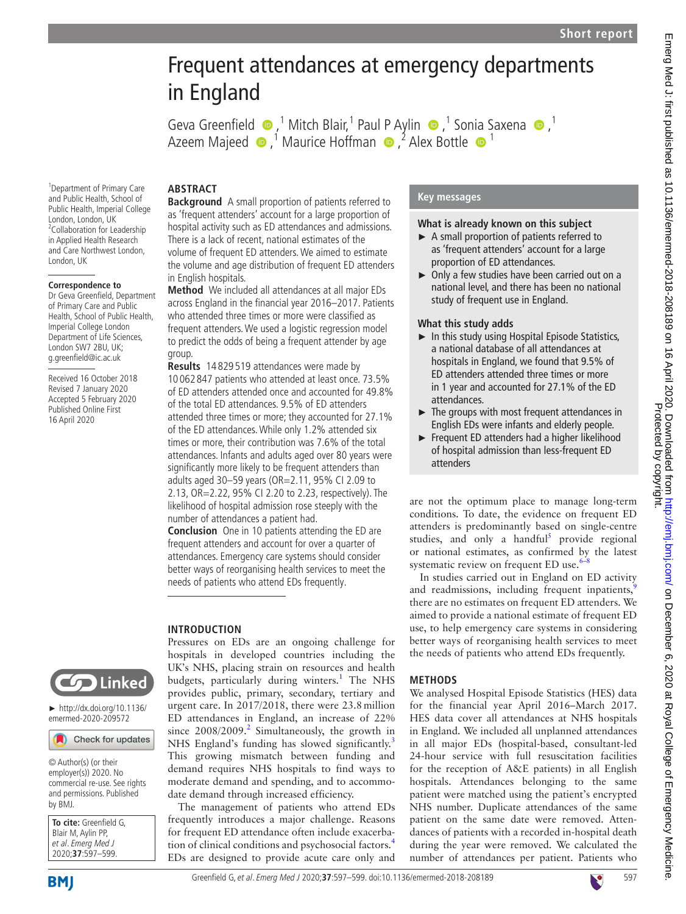# Emerg Med J: first published as 10.1136/emermed-2018-208189 on 16 April 2020. Downloaded from http://emj.com/ on December 6, 2020 at Royal College of Emergency Medicine.<br>Protected by college of Emergence as 10.1136/emermed Emerg Med J: first published as 10.1136/emermed-2018-208189 on 16 April 2020. Downloaded from hutp://emj.bmj.com/ on December 6, 2020 at Royal College of Emergency Medicine. Protected by copyright.

# Frequent attendances at emergency departments in England

**Key messages**

**What is already known on this subject** ► A small proportion of patients referred to as 'frequent attenders' account for a large

► Only a few studies have been carried out on a national level, and there has been no national

► In this study using Hospital Episode Statistics, a national database of all attendances at hospitals in England, we found that 9.5% of ED attenders attended three times or more in 1 year and accounted for 27.1% of the ED

► The groups with most frequent attendances in English EDs were infants and elderly people. ► Frequent ED attenders had a higher likelihood of hospital admission than less-frequent ED

are not the optimum place to manage long-term conditions. To date, the evidence on frequent ED attenders is predominantly based on single-centre studies, and only a handful<sup>[5](#page-2-4)</sup> provide regional or national estimates, as confirmed by the latest

In studies carried out in England on ED activity and readmissions, including frequent inpatients, there are no estimates on frequent ED attenders. We aimed to provide a national estimate of frequent ED use, to help emergency care systems in considering better ways of reorganising health services to meet the needs of patients who attend EDs frequently.

We analysed Hospital Episode Statistics (HES) data for the financial year April 2016–March 2017. HES data cover all attendances at NHS hospitals in England. We included all unplanned attendances in all major EDs (hospital-based, consultant-led 24-hour service with full resuscitation facilities for the reception of A&E patients) in all English hospitals. Attendances belonging to the same patient were matched using the patient's encrypted NHS number. Duplicate attendances of the same patient on the same date were removed. Attendances of patients with a recorded in-hospital death during the year were removed. We calculated the number of attendances per patient. Patients who

systematic review on frequent ED use. $6-8$ 

proportion of ED attendances.

study of frequent use in England.

**What this study adds**

attendances.

attenders

**Methods**

GevaGreenfield  $\bullet$ , <sup>1</sup> Mitch Blair, <sup>1</sup> Paul P Aylin  $\bullet$ , <sup>1</sup> Son[ia](http://orcid.org/0000-0001-9978-2011) Saxena  $\bullet$ , <sup>1</sup> Azeem Majeed  $\bullet$  ,<sup>1</sup> Maurice Hoffman  $\bullet$  ,<sup>2</sup> Alex Bottle  $\bullet$  <sup>1</sup>

## **Abstract**

1 Department of Primary Care and Public Health, School of Public Health, Imperial College London, London, UK <sup>2</sup>Collaboration for Leadership in Applied Health Research and Care Northwest London,

London, UK

**Correspondence to** Dr Geva Greenfield, Department of Primary Care and Public Health, School of Public Health, Imperial College London Department of Life Sciences, London SW7 2BU, UK; g.greenfield@ic.ac.uk Received 16 October 2018 Revised 7 January 2020 Accepted 5 February 2020 Published Online First 16 April 2020

**Background** A small proportion of patients referred to as 'frequent attenders' account for a large proportion of hospital activity such as ED attendances and admissions. There is a lack of recent, national estimates of the volume of frequent ED attenders. We aimed to estimate the volume and age distribution of frequent ED attenders in English hospitals.

**Method** We included all attendances at all major EDs across England in the financial year 2016–2017. Patients who attended three times or more were classified as frequent attenders. We used a logistic regression model to predict the odds of being a frequent attender by age group.

**Results** 14 829 519 attendances were made by 10 062 847 patients who attended at least once. 73.5% of ED attenders attended once and accounted for 49.8% of the total ED attendances. 9.5% of ED attenders attended three times or more; they accounted for 27.1% of the ED attendances. While only 1.2% attended six times or more, their contribution was 7.6% of the total attendances. Infants and adults aged over 80 years were significantly more likely to be frequent attenders than adults aged 30–59 years (OR=2.11, 95% CI 2.09 to 2.13, OR=2.22, 95% CI 2.20 to 2.23, respectively). The likelihood of hospital admission rose steeply with the number of attendances a patient had.

**Conclusion** One in 10 patients attending the ED are frequent attenders and account for over a quarter of attendances. Emergency care systems should consider better ways of reorganising health services to meet the needs of patients who attend EDs frequently.

Pressures on EDs are an ongoing challenge for hospitals in developed countries including the UK's NHS, placing strain on resources and health budgets, particularly during winters.<sup>[1](#page-2-0)</sup> The NHS provides public, primary, secondary, tertiary and urgent care. In 2017/2018, there were 23.8million ED attendances in England, an increase of 22% since  $2008/2009$  $2008/2009$ <sup>2</sup> Simultaneously, the growth in NHS England's funding has slowed significantly.<sup>[3](#page-2-2)</sup> This growing mismatch between funding and demand requires NHS hospitals to find ways to moderate demand and spending, and to accommo-

date demand through increased efficiency.

The management of patients who attend EDs frequently introduces a major challenge. Reasons for frequent ED attendance often include exacerbation of clinical conditions and psychosocial factors.[4](#page-2-3) EDs are designed to provide acute care only and

### **Introduction**

**Solution** Linked

► [http://dx.doi.org/10.1136/](http://dx.doi.org/10.1136/emermed-2020-209572) [emermed-2020-209572](http://dx.doi.org/10.1136/emermed-2020-209572)

### Check for updates

© Author(s) (or their employer(s)) 2020. No commercial re-use. See rights and permissions. Published by BMJ.

| To cite: Greenfield G,<br>Blair M, Aylin PP,<br>et al. Emerg Med J<br>2020;37:597–599. |
|----------------------------------------------------------------------------------------|
|                                                                                        |
|                                                                                        |
|                                                                                        |

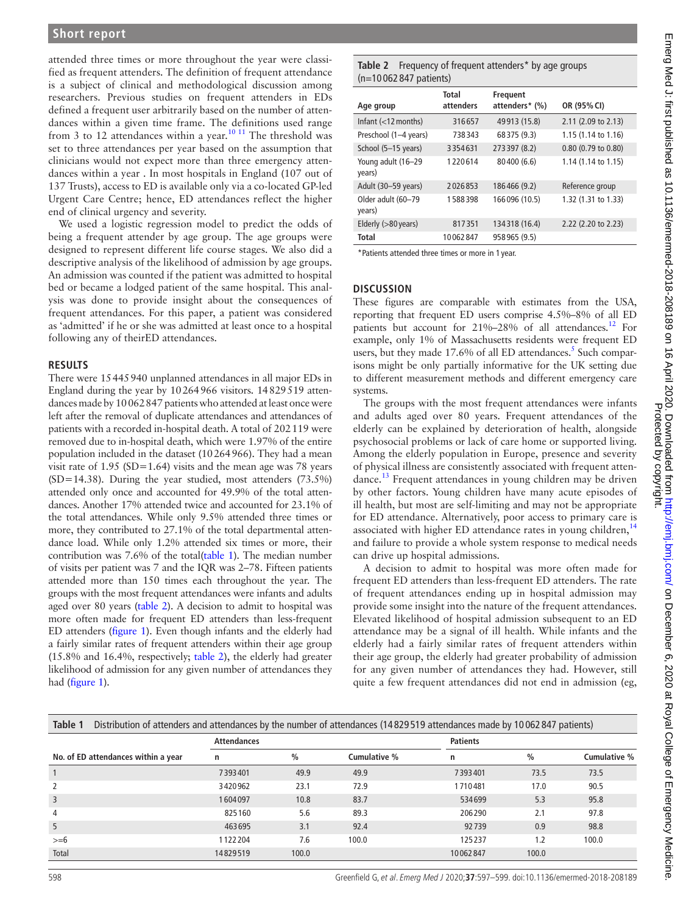attended three times or more throughout the year were classified as frequent attenders. The definition of frequent attendance is a subject of clinical and methodological discussion among researchers. Previous studies on frequent attenders in EDs defined a frequent user arbitrarily based on the number of attendances within a given time frame. The definitions used range from 3 to 12 attendances within a year.<sup>[10 11](#page-2-7)</sup> The threshold was set to three attendances per year based on the assumption that clinicians would not expect more than three emergency attendances within a year . In most hospitals in England (107 out of 137 Trusts), access to ED is available only via a co-located GP-led Urgent Care Centre; hence, ED attendances reflect the higher end of clinical urgency and severity.

We used a logistic regression model to predict the odds of being a frequent attender by age group. The age groups were designed to represent different life course stages. We also did a descriptive analysis of the likelihood of admission by age groups. An admission was counted if the patient was admitted to hospital bed or became a lodged patient of the same hospital. This analysis was done to provide insight about the consequences of frequent attendances. For this paper, a patient was considered as 'admitted' if he or she was admitted at least once to a hospital following any of theirED attendances.

### **Results**

There were 15445940 unplanned attendances in all major EDs in England during the year by 10264966 visitors. 14829519 attendances made by 10062847 patients who attended at least once were left after the removal of duplicate attendances and attendances of patients with a recorded in-hospital death. A total of 202119 were removed due to in-hospital death, which were 1.97% of the entire population included in the dataset (10264966). They had a mean visit rate of  $1.95$  (SD= $1.64$ ) visits and the mean age was 78 years (SD=14.38). During the year studied, most attenders (73.5%) attended only once and accounted for 49.9% of the total attendances. Another 17% attended twice and accounted for 23.1% of the total attendances. While only 9.5% attended three times or more, they contributed to 27.1% of the total departmental attendance load. While only 1.2% attended six times or more, their contribution was 7.6% of the total[\(table](#page-1-0) 1). The median number of visits per patient was 7 and the IQR was 2–78. Fifteen patients attended more than 150 times each throughout the year. The groups with the most frequent attendances were infants and adults aged over 80 years ([table](#page-1-1) 2). A decision to admit to hospital was more often made for frequent ED attenders than less-frequent ED attenders [\(figure](#page-2-8) 1). Even though infants and the elderly had a fairly similar rates of frequent attenders within their age group (15.8% and 16.4%, respectively; [table](#page-1-1) 2), the elderly had greater likelihood of admission for any given number of attendances they had [\(figure](#page-2-8) 1).

### <span id="page-1-1"></span>**Table 2** Frequency of frequent attenders\* by age groups (n=10 062 847 patients)

|                              | <b>Total</b> | Frequent       |                     |
|------------------------------|--------------|----------------|---------------------|
| Age group                    | attenders    | attenders* (%) | OR (95% CI)         |
| Infant $(<$ 12 months)       | 316657       | 49913 (15.8)   | 2.11 (2.09 to 2.13) |
| Preschool (1-4 years)        | 738343       | 68375 (9.3)    | 1.15 (1.14 to 1.16) |
| School (5-15 years)          | 3354631      | 273 397 (8.2)  | 0.80 (0.79 to 0.80) |
| Young adult (16-29<br>years) | 1220614      | 80400 (6.6)    | 1.14 (1.14 to 1.15) |
| Adult (30-59 years)          | 2026853      | 186466 (9.2)   | Reference group     |
| Older adult (60-79<br>years) | 1588398      | 166096 (10.5)  | 1.32 (1.31 to 1.33) |
| Elderly (>80 years)          | 817351       | 134318 (16.4)  | 2.22 (2.20 to 2.23) |
| <b>Total</b>                 | 10062847     | 958965 (9.5)   |                     |

\*Patients attended three times or more in 1 year.

### **Discussion**

These figures are comparable with estimates from the USA, reporting that frequent ED users comprise 4.5%–8% of all ED patients but account for 21%–28% of all attendances.<sup>12</sup> For example, only 1% of Massachusetts residents were frequent ED users, but they made 17.6% of all ED attendances.<sup>5</sup> Such comparisons might be only partially informative for the UK setting due to different measurement methods and different emergency care systems.

The groups with the most frequent attendances were infants and adults aged over 80 years. Frequent attendances of the elderly can be explained by deterioration of health, alongside psychosocial problems or lack of care home or supported living. Among the elderly population in Europe, presence and severity of physical illness are consistently associated with frequent atten-dance.<sup>[13](#page-2-10)</sup> Frequent attendances in young children may be driven by other factors. Young children have many acute episodes of ill health, but most are self-limiting and may not be appropriate for ED attendance. Alternatively, poor access to primary care is associated with higher ED attendance rates in young children, $14$ and failure to provide a whole system response to medical needs can drive up hospital admissions.

A decision to admit to hospital was more often made for frequent ED attenders than less-frequent ED attenders. The rate of frequent attendances ending up in hospital admission may provide some insight into the nature of the frequent attendances. Elevated likelihood of hospital admission subsequent to an ED attendance may be a signal of ill health. While infants and the elderly had a fairly similar rates of frequent attenders within their age group, the elderly had greater probability of admission for any given number of attendances they had. However, still quite a few frequent attendances did not end in admission (eg,

<span id="page-1-0"></span>

| Table 1<br>Distribution of attenders and attendances by the number of attendances (14829519 attendances made by 10062847 patients) |                    |               |              |                 |               |              |  |  |  |
|------------------------------------------------------------------------------------------------------------------------------------|--------------------|---------------|--------------|-----------------|---------------|--------------|--|--|--|
|                                                                                                                                    | <b>Attendances</b> |               |              | <b>Patients</b> |               |              |  |  |  |
| No. of ED attendances within a year                                                                                                | n                  | $\frac{0}{0}$ | Cumulative % | n               | $\frac{0}{0}$ | Cumulative % |  |  |  |
|                                                                                                                                    | 7393401            | 49.9          | 49.9         | 7393401         | 73.5          | 73.5         |  |  |  |
| 2                                                                                                                                  | 3420962            | 23.1          | 72.9         | 1710481         | 17.0          | 90.5         |  |  |  |
| 3                                                                                                                                  | 1604097            | 10.8          | 83.7         | 534699          | 5.3           | 95.8         |  |  |  |
| $\overline{4}$                                                                                                                     | 825160             | 5.6           | 89.3         | 206290          | 2.1           | 97.8         |  |  |  |
| 5                                                                                                                                  | 463695             | 3.1           | 92.4         | 92739           | 0.9           | 98.8         |  |  |  |
| $>= 6$                                                                                                                             | 1122204            | 7.6           | 100.0        | 125237          | 1.2           | 100.0        |  |  |  |
| Total                                                                                                                              | 14829519           | 100.0         |              | 10062847        | 100.0         |              |  |  |  |